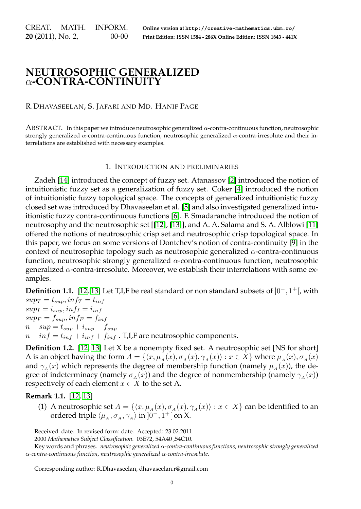CREAT. MATH. INFORM. **20** (2011), No. 2, 00-00 **Online version at http://creative-mathematics.ubm.ro/ Print Edition: ISSN 1584 - 286X Online Edition: ISSN 1843 - 441X**

## **NEUTROSOPHIC GENERALIZED** α**-CONTRA-CONTINUITY**

R.DHAVASEELAN, S. JAFARI AND MD. HANIF PAGE

ABSTRACT. In this paper we introduce neutrosophic generalized  $\alpha$ -contra-continuous function, neutrosophic strongly generalized  $\alpha$ -contra-continuous function, neutrosophic generalized  $\alpha$ -contra-irresolute and their interrelations are established with necessary examples.

## 1. INTRODUCTION AND PRELIMINARIES

Zadeh [\[14\]](#page-6-0) introduced the concept of fuzzy set. Atanassov [\[2\]](#page-6-1) introduced the notion of intuitionistic fuzzy set as a generalization of fuzzy set. Coker [\[4\]](#page-6-2) introduced the notion of intuitionistic fuzzy topological space. The concepts of generalized intuitionistic fuzzy closed set was introduced by Dhavaseelan et al. [\[5\]](#page-6-3) and also investigated generalized intuitionistic fuzzy contra-continuous functions [\[6\]](#page-6-4). F. Smadaranche introduced the notion of neutrosophy and the neutrosophic set [[\[12\]](#page-6-5), [\[13\]](#page-6-6)], and A. A. Salama and S. A. Alblowi [\[11\]](#page-6-7) offered the notions of neutrosophic crisp set and neutrosophic crisp topological space. In this paper, we focus on some versions of Dontchev's notion of contra-continuity [\[9\]](#page-6-8) in the context of neutrosophic topology such as neutrosophic generalized  $\alpha$ -contra-continuous function, neutrosophic strongly generalized  $\alpha$ -contra-continuous function, neutrosophic generalized  $\alpha$ -contra-irresolute. Moreover, we establish their interrelations with some examples.

**Definition 1.1.** [\[12,](#page-6-5) [13\]](#page-6-6) Let T,I,F be real standard or non standard subsets of  $]0^-, 1^+[$ , with  $sup_T = t_{sun}$ ,  $inf_T = t_{inf}$ 

 $sup_I = i_{sup}$ ,  $inf_I = i_{inf}$  $sup_F = f_{sup}$ ,  $inf_F = f_{inf}$  $n - sup = t_{sup} + i_{sup} + f_{sup}$  $n - inf = t_{inf} + i_{inf} + f_{inf}$ . T, I, F are neutrosophic components.

**Definition 1.2.** [\[12,](#page-6-5) [13\]](#page-6-6) Let X be a nonempty fixed set. A neutrosophic set [NS for short] A is an object having the form  $A = \{x, \mu_A(x), \sigma_A(x), \gamma_A(x) \} : x \in X\}$  where  $\mu_A(x), \sigma_A(x)$ and  $\gamma_A(x)$  which represents the degree of membership function (namely  $\mu_A(x)$ ), the degree of indeterminacy (namely  $\sigma_A(x)$ ) and the degree of nonmembership (namely  $\gamma_A(x)$ ) respectively of each element  $x \in X$  to the set A.

**Remark 1.1.** [\[12,](#page-6-5) [13\]](#page-6-6)

(1) A neutrosophic set  $A = \{ \langle x, \mu_A(x), \sigma_A(x), \gamma_A(x) \rangle : x \in X \}$  can be identified to an ordered triple  $\langle \mu_A, \sigma_A, \gamma_A \rangle$  in  $]0^-, 1^+[$  on X.

Corresponding author: R.Dhavaseelan, dhavaseelan.r@gmail.com

Received: date. In revised form: date. Accepted: 23.02.2011

<sup>2000</sup> *Mathematics Subject Classification.* 03E72, 54A40 ,54C10.

Key words and phrases. *neutrosophic generalized* α*-contra-continuous functions, neutrosophic strongly generalized* α*-contra-continuous function, neutrosophic generalized* α*-contra-irresolute.*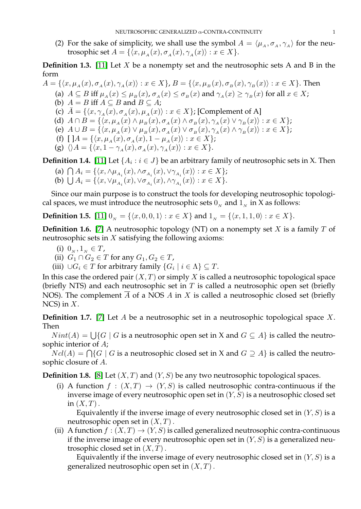(2) For the sake of simplicity, we shall use the symbol  $A = \langle \mu_A, \sigma_A, \gamma_A \rangle$  for the neutrosophic set  $A = \{ (x, \mu_A(x), \sigma_A(x), \gamma_A(x)) : x \in X \}.$ 

**Definition 1.3.** [\[11\]](#page-6-7) Let X be a nonempty set and the neutrosophic sets A and B in the form

 $A = \{\langle x, \mu_A(x), \sigma_A(x), \gamma_A(x)\rangle : x \in X\}, B = \{\langle x, \mu_B(x), \sigma_B(x), \gamma_B(x)\rangle : x \in X\}.$  Then (a)  $A \subseteq B$  iff  $\mu_A(x) \leq \mu_B(x)$ ,  $\sigma_A(x) \leq \sigma_B(x)$  and  $\gamma_A(x) \geq \gamma_B(x)$  for all  $x \in X$ ; (b)  $A = B$  iff  $A \subseteq B$  and  $B \subseteq A$ ; (c)  $\bar{A} = \{\langle x, \gamma_A(x), \sigma_A(x), \mu_A(x)\rangle : x \in X\}$ ; [Complement of A] (d)  $A \cap B = \{ \langle x, \mu_A(x) \wedge \mu_B(x), \sigma_A(x) \wedge \sigma_B(x), \gamma_A(x) \vee \gamma_B(x) \rangle : x \in X \};$ (e)  $A \cup B = \{ \langle x, \mu_A(x) \vee \mu_B(x), \sigma_A(x) \vee \sigma_B(x), \gamma_A(x) \wedge \gamma_B(x) \rangle : x \in X \};$ (f)  $[A = {\langle x, \mu_A (x), \sigma_A (x), 1 - \mu_A (x) \rangle : x \in X};$ (g)  $\langle A = {\langle x, 1 - \gamma_A(x), \sigma_A(x), \gamma_A(x) \rangle : x \in X}$ .

**Definition 1.4.** [\[11\]](#page-6-7) Let  $\{A_i : i \in J\}$  be an arbitrary family of neutrosophic sets in X. Then

(a)  $\bigcap A_i = \{ \langle x, \wedge \mu_{A_i}(x), \wedge \sigma_{A_i}(x), \vee \gamma_{A_i}(x) \rangle : x \in X \};$ (b)  $\bigcup A_i = \{ \langle x, \vee \mu_{A_i}(x), \vee \sigma_{A_i}(x), \wedge \gamma_{A_i}(x) \rangle : x \in X \}.$ 

Since our main purpose is to construct the tools for developing neutrosophic topological spaces, we must introduce the neutrosophic sets  $0<sub>N</sub>$  and  $1<sub>N</sub>$  in X as follows:

**Definition 1.5.** [\[11\]](#page-6-7)  $0_N = \{(x, 0, 0, 1) : x \in X\}$  and  $1_N = \{(x, 1, 1, 0) : x \in X\}.$ 

**Definition 1.6.** [\[7\]](#page-6-9) A neutrosophic topology (NT) on a nonempty set  $X$  is a family  $T$  of neutrosophic sets in  $X$  satisfying the following axioms:

- (i)  $0_N, 1_N \in T$ ,
- (ii)  $G_1 \cap G_2 \in T$  for any  $G_1, G_2 \in T$ ,
- (iii)  $\cup G_i \in T$  for arbitrary family  $\{G_i \mid i \in \Lambda\} \subseteq T$ .

In this case the ordered pair  $(X, T)$  or simply X is called a neutrosophic topological space (briefly NTS) and each neutrosophic set in  $T$  is called a neutrosophic open set (briefly NOS). The complement  $\overline{A}$  of a NOS A in X is called a neutrosophic closed set (briefly  $NCS$ ) in  $X$ .

**Definition 1.7.** [\[7\]](#page-6-9) Let A be a neutrosophic set in a neutrosophic topological space X. Then

 $Nint(A) = \bigcup \{G \mid G$  is a neutrosophic open set in X and  $G \subseteq A\}$  is called the neutrosophic interior of A;

 $Ncl(A) = \bigcap \{G \mid G$  is a neutrosophic closed set in X and  $G \supseteq A\}$  is called the neutrosophic closure of A.

**Definition 1.8.** [\[8\]](#page-6-10) Let  $(X, T)$  and  $(Y, S)$  be any two neutrosophic topological spaces.

(i) A function  $f : (X,T) \to (Y,S)$  is called neutrosophic contra-continuous if the inverse image of every neutrosophic open set in  $(Y, S)$  is a neutrosophic closed set in  $(X, T)$ .

Equivalently if the inverse image of every neutrosophic closed set in  $(Y, S)$  is a neutrosophic open set in  $(X, T)$ .

(ii) A function  $f : (X,T) \to (Y,S)$  is called generalized neutrosophic contra-continuous if the inverse image of every neutrosophic open set in  $(Y, S)$  is a generalized neutrosophic closed set in  $(X, T)$ .

Equivalently if the inverse image of every neutrosophic closed set in  $(Y, S)$  is a generalized neutrosophic open set in  $(X, T)$ .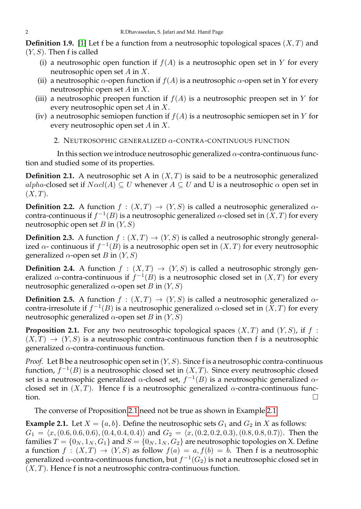**Definition 1.9.** [\[1\]](#page-6-11) Let f be a function from a neutrosophic topological spaces  $(X, T)$  and  $(Y, S)$ . Then f is called

- (i) a neutrosophic open function if  $f(A)$  is a neutrosophic open set in Y for every neutrosophic open set A in X.
- (ii) a neutrosophic  $\alpha$ -open function if  $f(A)$  is a neutrosophic  $\alpha$ -open set in Y for every neutrosophic open set A in X.
- (iii) a neutrosophic preopen function if  $f(A)$  is a neutrosophic preopen set in Y for every neutrosophic open set A in X.
- (iv) a neutrosophic semiopen function if  $f(A)$  is a neutrosophic semiopen set in Y for every neutrosophic open set A in X.
	- 2. NEUTROSOPHIC GENERALIZED α-CONTRA-CONTINUOUS FUNCTION

In this section we introduce neutrosophic generalized  $\alpha$ -contra-continuous function and studied some of its properties.

**Definition 2.1.** A neutrosophic set A in  $(X, T)$  is said to be a neutrosophic generalized alpha-closed set if  $N\alpha cl(A) \subseteq U$  whenever  $A \subseteq U$  and U is a neutrosophic  $\alpha$  open set in  $(X, T)$ .

**Definition 2.2.** A function  $f : (X,T) \to (Y,S)$  is called a neutrosophic generalized  $\alpha$ contra-continuous if  $f^{-1}(B)$  is a neutrosophic generalized  $\alpha$ -closed set in  $(X,T)$  for every neutrosophic open set B in  $(Y, S)$ 

**Definition 2.3.** A function  $f : (X,T) \to (Y,S)$  is called a neutrosophic strongly generalized  $\alpha$ - continuous if  $f^{-1}(B)$  is a neutrosophic open set in  $(X,T)$  for every neutrosophic generalized  $α$ -open set B in  $(Y, S)$ 

**Definition 2.4.** A function  $f : (X,T) \rightarrow (Y,S)$  is called a neutrosophic strongly generalized  $\alpha$ -contra-continuous if  $f^{-1}(B)$  is a neutrosophic closed set in  $(X,T)$  for every neutrosophic generalized  $\alpha$ -open set B in  $(Y, S)$ 

**Definition 2.5.** A function  $f : (X,T) \rightarrow (Y,S)$  is called a neutrosophic generalized  $\alpha$ contra-irresolute if  $f^{-1}(B)$  is a neutrosophic generalized  $\alpha$ -closed set in  $(X,T)$  for every neutrosophic generalized  $\alpha$ -open set B in  $(Y, S)$ 

<span id="page-2-0"></span>**Proposition 2.1.** For any two neutrosophic topological spaces  $(X, T)$  and  $(Y, S)$ , if f:  $(X, T) \rightarrow (Y, S)$  is a neutrosophic contra-continuous function then f is a neutrosophic generalized  $\alpha$ -contra-continuous function.

*Proof.* Let B be a neutrosophic open set in  $(Y, S)$ . Since f is a neutrosophic contra-continuous function,  $f^{-1}(B)$  is a neutrosophic closed set in  $(X, T)$ . Since every neutrosophic closed set is a neutrosophic generalized  $\alpha$ -closed set,  $f^{-1}(B)$  is a neutrosophic generalized  $\alpha$ closed set in  $(X, T)$ . Hence f is a neutrosophic generalized  $\alpha$ -contra-continuous func- $\Box$ 

The converse of Proposition [2.1](#page-2-0) need not be true as shown in Example [2.1.](#page-2-1)

<span id="page-2-1"></span>**Example 2.1.** Let  $X = \{a, b\}$ . Define the neutrosophic sets  $G_1$  and  $G_2$  in X as follows:  $G_1 = \langle x,(0.6, 0.6, 0.6), (0.4, 0.4, 0.4)\rangle$  and  $G_2 = \langle x,(0.2, 0.2, 0.3), (0.8, 0.8, 0.7)\rangle$ . Then the families  $T = \{0_N, 1_N, G_1\}$  and  $S = \{0_N, 1_N, G_2\}$  are neutrosophic topologies on X. Define a function  $f : (X,T) \to (Y,S)$  as follow  $f(a) = a, f(b) = b$ . Then f is a neutrosophic generalized  $\alpha$ -contra-continuous function, but  $f^{-1}(G_2)$  is not a neutrosophic closed set in  $(X, T)$ . Hence f is not a neutrosophic contra-continuous function.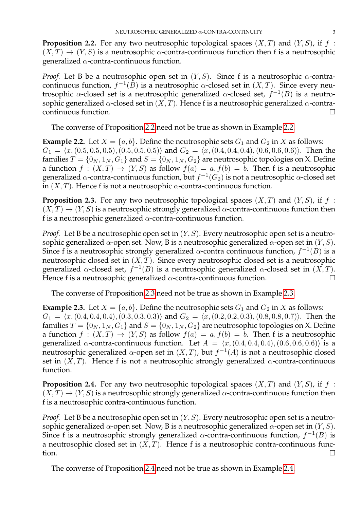<span id="page-3-0"></span>**Proposition 2.2.** For any two neutrosophic topological spaces  $(X, T)$  and  $(Y, S)$ , if f:  $(X, T) \rightarrow (Y, S)$  is a neutrosophic  $\alpha$ -contra-continuous function then f is a neutrosophic generalized  $\alpha$ -contra-continuous function.

*Proof.* Let B be a neutrosophic open set in  $(Y, S)$ . Since f is a neutrosophic  $\alpha$ -contracontinuous function,  $f^{-1}(B)$  is a neutrosophic  $\alpha$ -closed set in  $(X,T).$  Since every neutrosophic  $\alpha$ -closed set is a neutrosophic generalized  $\alpha$ -closed set,  $f^{-1}(B)$  is a neutrosophic generalized  $\alpha$ -closed set in  $(X, T)$ . Hence f is a neutrosophic generalized  $\alpha$ -contracontinuous function.

The converse of Proposition [2.2](#page-3-0) need not be true as shown in Example [2.2.](#page-3-1)

<span id="page-3-1"></span>**Example 2.2.** Let  $X = \{a, b\}$ . Define the neutrosophic sets  $G_1$  and  $G_2$  in X as follows:  $G_1 = \langle x,(0.5, 0.5, 0.5), (0.5, 0.5, 0.5)\rangle$  and  $G_2 = \langle x,(0.4, 0.4, 0.4), (0.6, 0.6, 0.6)\rangle$ . Then the families  $T = \{0_N, 1_N, G_1\}$  and  $S = \{0_N, 1_N, G_2\}$  are neutrosophic topologies on X. Define a function  $f : (X,T) \to (Y,S)$  as follow  $f(a) = a, f(b) = b$ . Then f is a neutrosophic generalized  $\alpha$ -contra-continuous function, but  $f^{-1}(G_2)$  is not a neutrosophic  $\alpha$ -closed set in  $(X, T)$ . Hence f is not a neutrosophic  $\alpha$ -contra-continuous function.

<span id="page-3-2"></span>**Proposition 2.3.** For any two neutrosophic topological spaces  $(X, T)$  and  $(Y, S)$ , if f:  $(X, T) \rightarrow (Y, S)$  is a neutrosophic strongly generalized  $\alpha$ -contra-continuous function then f is a neutrosophic generalized  $\alpha$ -contra-continuous function.

*Proof.* Let B be a neutrosophic open set in  $(Y, S)$ . Every neutrosophic open set is a neutrosophic generalized  $\alpha$ -open set. Now, B is a neutrosophic generalized  $\alpha$ -open set in  $(Y, S)$ . Since f is a neutrosophic strongly generalized  $\alpha$ -contra continuous function,  $f^{-1}(B)$  is a neutrosophic closed set in  $(X, T)$ . Since every neutrosophic closed set is a neutrosophic generalized  $\alpha$ -closed set,  $f^{-1}(B)$  is a neutrosophic generalized  $\alpha$ -closed set in  $(X,T)$ . Hence f is a neutrosophic generalized  $\alpha$ -contra-continuous function.

The converse of Proposition [2.3](#page-3-2) need not be true as shown in Example [2.3.](#page-3-3)

<span id="page-3-3"></span>**Example 2.3.** Let  $X = \{a, b\}$ . Define the neutrosophic sets  $G_1$  and  $G_2$  in X as follows:  $G_1 = \langle x,(0.4, 0.4, 0.4), (0.3, 0.3, 0.3)\rangle$  and  $G_2 = \langle x,(0.2, 0.2, 0.3), (0.8, 0.8, 0.7)\rangle$ . Then the families  $T = \{0_N, 1_N, G_1\}$  and  $S = \{0_N, 1_N, G_2\}$  are neutrosophic topologies on X. Define a function  $f : (X,T) \to (Y,S)$  as follow  $f(a) = a, f(b) = b$ . Then f is a neutrosophic generalized  $\alpha$ -contra-continuous function. Let  $A = \langle x,(0.4, 0.4, 0.4), (0.6, 0.6, 0.6) \rangle$  is a neutrosophic generalized  $\alpha$ -open set in  $(X,T)$ , but  $f^{-1}(A)$  is not a neutrosophic closed set in  $(X, T)$ . Hence f is not a neutrosophic strongly generalized  $\alpha$ -contra-continuous function.

<span id="page-3-4"></span>**Proposition 2.4.** For any two neutrosophic topological spaces  $(X, T)$  and  $(Y, S)$ , if f:  $(X, T) \rightarrow (Y, S)$  is a neutrosophic strongly generalized  $\alpha$ -contra-continuous function then f is a neutrosophic contra-continuous function.

*Proof.* Let B be a neutrosophic open set in  $(Y, S)$ . Every neutrosophic open set is a neutrosophic generalized  $\alpha$ -open set. Now, B is a neutrosophic generalized  $\alpha$ -open set in  $(Y, S)$ . Since f is a neutrosophic strongly generalized  $\alpha$ -contra-continuous function,  $f^{-1}(B)$  is a neutrosophic closed set in  $(X, T)$ . Hence f is a neutrosophic contra-continuous func- $\Box$ 

The converse of Proposition [2.4](#page-3-4) need not be true as shown in Example [2.4.](#page-4-0)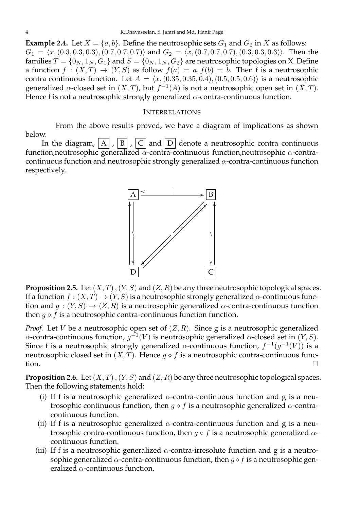<span id="page-4-0"></span>**Example 2.4.** Let  $X = \{a, b\}$ . Define the neutrosophic sets  $G_1$  and  $G_2$  in X as follows:  $G_1 = \langle x,(0.3, 0.3, 0.3), (0.7, 0.7, 0.7)\rangle$  and  $G_2 = \langle x,(0.7, 0.7, 0.7), (0.3, 0.3, 0.3)\rangle$ . Then the families  $T = \{0_N, 1_N, G_1\}$  and  $S = \{0_N, 1_N, G_2\}$  are neutrosophic topologies on X. Define a function  $f : (X,T) \to (Y,S)$  as follow  $f(a) = a, f(b) = b$ . Then f is a neutrosophic contra continuous function. Let  $A = \langle x,(0.35, 0.35, 0.4), (0.5, 0.5, 0.6)\rangle$  is a neutrosophic generalized  $\alpha$ -closed set in  $(X,T)$ , but  $f^{-1}(A)$  is not a neutrosophic open set in  $(X,T)$ . Hence f is not a neutrosophic strongly generalized  $\alpha$ -contra-continuous function.

## INTERRELATIONS

From the above results proved, we have a diagram of implications as shown below.

In the diagram,  $\overline{A}$ ,  $\overline{B}$ ,  $\overline{C}$  and  $\overline{D}$  denote a neutrosophic contra continuous function,neutrosophic generalized α-contra-continuous function,neutrosophic α-contracontinuous function and neutrosophic strongly generalized  $\alpha$ -contra-continuous function respectively.



**Proposition 2.5.** Let  $(X, T)$ ,  $(Y, S)$  and  $(Z, R)$  be any three neutrosophic topological spaces. If a function  $f : (X,T) \to (Y,S)$  is a neutrosophic strongly generalized  $\alpha$ -continuous function and  $g: (Y, S) \to (Z, R)$  is a neutrosophic generalized  $\alpha$ -contra-continuous function then  $g \circ f$  is a neutrosophic contra-continuous function function.

*Proof.* Let *V* be a neutrosophic open set of  $(Z, R)$ . Since g is a neutrosophic generalized α-contra-continuous function,  $g^{-1}(V)$  is neutrosophic generalized α-closed set in  $(Y, S)$ . Since f is a neutrosophic strongly generalized  $\alpha$ -continuous function,  $f^{-1}(g^{-1}(V))$  is a neutrosophic closed set in  $(X, \tilde{T})$ . Hence  $g \circ f$  is a neutrosophic contra-continuous function.  $\Box$ 

**Proposition 2.6.** Let  $(X, T)$ ,  $(Y, S)$  and  $(Z, R)$  be any three neutrosophic topological spaces. Then the following statements hold:

- (i) If f is a neutrosophic generalized  $\alpha$ -contra-continuous function and g is a neutrosophic continuous function, then  $q \circ f$  is a neutrosophic generalized  $\alpha$ -contracontinuous function.
- (ii) If f is a neutrosophic generalized  $\alpha$ -contra-continuous function and g is a neutrosophic contra-continuous function, then  $g \circ f$  is a neutrosophic generalized  $\alpha$ continuous function.
- (iii) If f is a neutrosophic generalized  $\alpha$ -contra-irresolute function and g is a neutrosophic generalized  $\alpha$ -contra-continuous function, then  $g \circ f$  is a neutrosophic generalized  $\alpha$ -continuous function.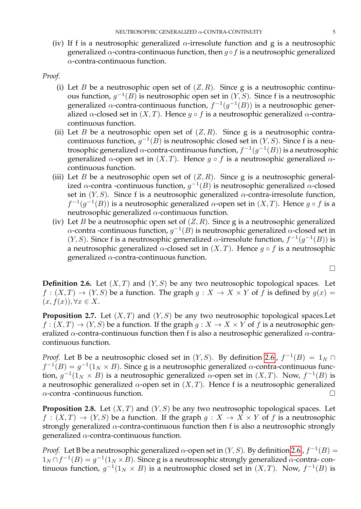(iv) If f is a neutrosophic generalized  $\alpha$ -irresolute function and g is a neutrosophic generalized  $\alpha$ -contra-continuous function, then  $q \circ f$  is a neutrosophic generalized  $\alpha$ -contra-continuous function.

*Proof.*

- (i) Let B be a neutrosophic open set of  $(Z, R)$ . Since g is a neutrosophic continuous function,  $g^{-1}(B)$  is neutrosophic open set in  $(Y, S)$ . Since f is a neutrosophic generalized  $\alpha$ -contra-continuous function,  $f^{-1}(g^{-1}(B))$  is a neutrosophic generalized  $\alpha$ -closed set in  $(X, T)$ . Hence  $g \circ f$  is a neutrosophic generalized  $\alpha$ -contracontinuous function.
- (ii) Let B be a neutrosophic open set of  $(Z, R)$ . Since g is a neutrosophic contracontinuous function,  $g^{-1}(B)$  is neutrosophic closed set in  $(Y, S)$ . Since f is a neutrosophic generalized  $\alpha$ -contra-continuous function,  $f^{-1}(g^{-1}(B))$  is a neutrosophic generalized  $\alpha$ -open set in  $(X, T)$ . Hence  $g \circ f$  is a neutrosophic generalized  $\alpha$ continuous function.
- (iii) Let B be a neutrosophic open set of  $(Z, R)$ . Since g is a neutrosophic generalized  $\alpha$ -contra -continuous function,  $g^{-1}(B)$  is neutrosophic generalized  $\alpha$ -closed set in  $(Y, S)$ . Since f is a neutrosophic generalized  $\alpha$ -contra-irresolute function,  $f^{-1}(g^{-1}(B))$  is a neutrosophic generalized  $\alpha$ -open set in  $(X,T)$ . Hence  $g \circ f$  is a neutrosophic generalized  $\alpha$ -continuous function.
- (iv) Let B be a neutrosophic open set of  $(Z, R)$ . Since g is a neutrosophic generalized  $\alpha$ -contra -continuous function,  $g^{-1}(B)$  is neutrosophic generalized  $\alpha$ -closed set in (*Y*, *S*). Since f is a neutrosophic generalized  $\alpha$ -irresolute function,  $f^{-1}(g^{-1}(B))$  is a neutrosophic generalized  $\alpha$ -closed set in  $(X, T)$ . Hence  $g \circ f$  is a neutrosophic generalized  $\alpha$ -contra-continuous function.

 $\Box$ 

<span id="page-5-0"></span>**Definition 2.6.** Let  $(X, T)$  and  $(Y, S)$  be any two neutrosophic topological spaces. Let  $f : (X,T) \to (Y,S)$  be a function. The graph  $g : X \to X \times Y$  of f is defined by  $g(x) =$  $(x, f(x)), \forall x \in X.$ 

**Proposition 2.7.** Let  $(X, T)$  and  $(Y, S)$  be any two neutrosophic topological spaces. Let  $f: (X,T) \to (Y,S)$  be a function. If the graph  $g: X \to X \times Y$  of f is a neutrosophic generalized  $\alpha$ -contra-continuous function then f is also a neutrosophic generalized  $\alpha$ -contracontinuous function.

*Proof.* Let B be a neutrosophic closed set in  $(Y, S)$ . By definition [2.6.](#page-5-0),  $f^{-1}(B) = 1_N \cap I$  $f^{-1}(B) = g^{-1}(1_N \times B)$ . Since g is a neutrosophic generalized  $\alpha$ -contra-continuous function,  $g^{-1}(1_N \times B)$  is a neutrosophic generalized  $\alpha$ -open set in  $(X,T)$ . Now,  $f^{-1}(B)$  is a neutrosophic generalized  $α$ -open set in  $(X, T)$ . Hence f is a neutrosophic generalized  $\alpha$ -contra -continuous function.

**Proposition 2.8.** Let  $(X, T)$  and  $(Y, S)$  be any two neutrosophic topological spaces. Let  $f : (X,T) \to (Y,S)$  be a function. If the graph  $g : X \to X \times Y$  of f is a neutrosophic strongly generalized  $\alpha$ -contra-continuous function then f is also a neutrosophic strongly generalized  $\alpha$ -contra-continuous function.

*Proof.* Let B be a neutrosophic generalized  $\alpha$ -open set in  $(Y, S)$ . By definition [2.6.](#page-5-0),  $f^{-1}(B)$  =  $1_N \cap f^{-1}(B) = g^{-1}(1_N \times B)$ . Since g is a neutrosophic strongly generalized  $\alpha$ -contra-continuous function,  $g^{-1}(1_N \times B)$  is a neutrosophic closed set in  $(X, T)$ . Now,  $f^{-1}(B)$  is